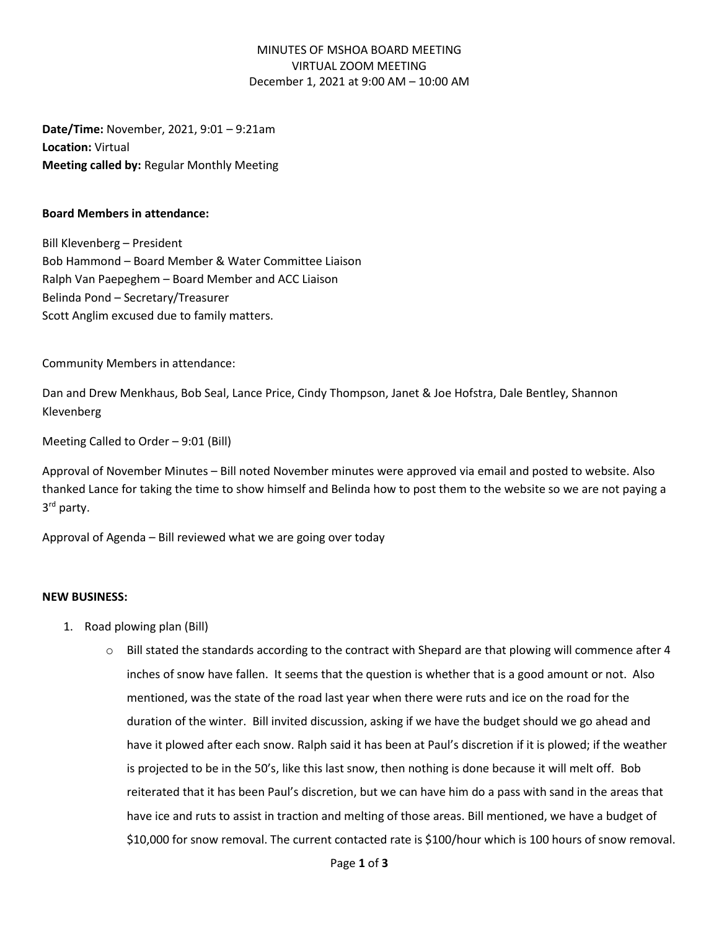## MINUTES OF MSHOA BOARD MEETING VIRTUAL ZOOM MEETING December 1, 2021 at 9:00 AM – 10:00 AM

**Date/Time:** November, 2021, 9:01 – 9:21am **Location:** Virtual **Meeting called by:** Regular Monthly Meeting

#### **Board Members in attendance:**

Bill Klevenberg – President Bob Hammond – Board Member & Water Committee Liaison Ralph Van Paepeghem – Board Member and ACC Liaison Belinda Pond – Secretary/Treasurer Scott Anglim excused due to family matters.

Community Members in attendance:

Dan and Drew Menkhaus, Bob Seal, Lance Price, Cindy Thompson, Janet & Joe Hofstra, Dale Bentley, Shannon Klevenberg

Meeting Called to Order – 9:01 (Bill)

Approval of November Minutes – Bill noted November minutes were approved via email and posted to website. Also thanked Lance for taking the time to show himself and Belinda how to post them to the website so we are not paying a 3<sup>rd</sup> party.

Approval of Agenda – Bill reviewed what we are going over today

#### **NEW BUSINESS:**

- 1. Road plowing plan (Bill)
	- $\circ$  Bill stated the standards according to the contract with Shepard are that plowing will commence after 4 inches of snow have fallen. It seems that the question is whether that is a good amount or not. Also mentioned, was the state of the road last year when there were ruts and ice on the road for the duration of the winter. Bill invited discussion, asking if we have the budget should we go ahead and have it plowed after each snow. Ralph said it has been at Paul's discretion if it is plowed; if the weather is projected to be in the 50's, like this last snow, then nothing is done because it will melt off. Bob reiterated that it has been Paul's discretion, but we can have him do a pass with sand in the areas that have ice and ruts to assist in traction and melting of those areas. Bill mentioned, we have a budget of \$10,000 for snow removal. The current contacted rate is \$100/hour which is 100 hours of snow removal.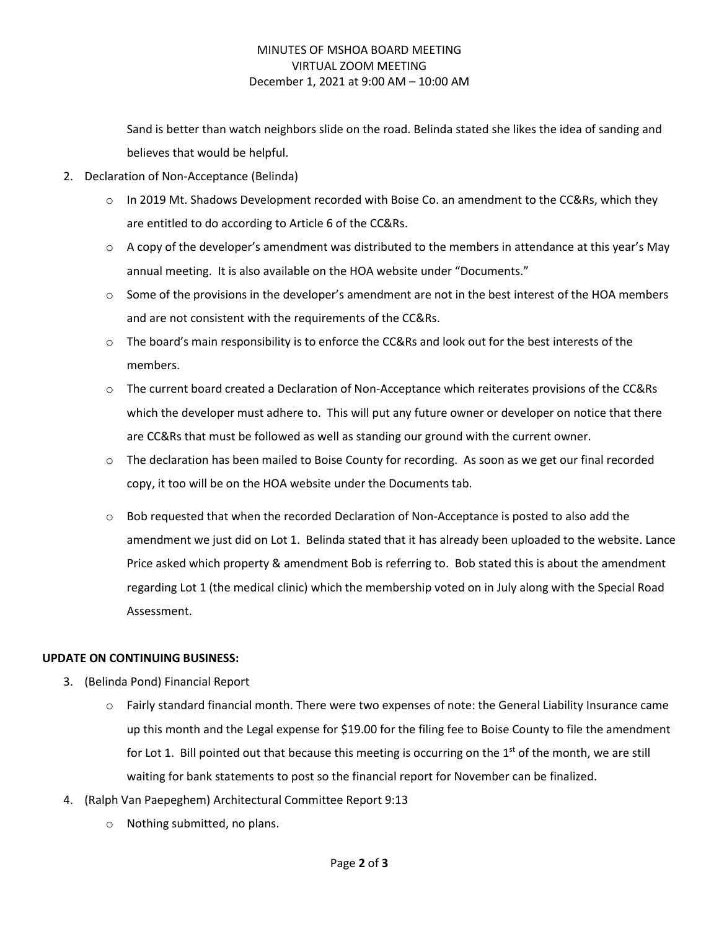## MINUTES OF MSHOA BOARD MEETING VIRTUAL ZOOM MEETING December 1, 2021 at 9:00 AM – 10:00 AM

Sand is better than watch neighbors slide on the road. Belinda stated she likes the idea of sanding and believes that would be helpful.

- 2. Declaration of Non-Acceptance (Belinda)
	- $\circ$  In 2019 Mt. Shadows Development recorded with Boise Co. an amendment to the CC&Rs, which they are entitled to do according to Article 6 of the CC&Rs.
	- $\circ$  A copy of the developer's amendment was distributed to the members in attendance at this year's May annual meeting. It is also available on the HOA website under "Documents."
	- $\circ$  Some of the provisions in the developer's amendment are not in the best interest of the HOA members and are not consistent with the requirements of the CC&Rs.
	- $\circ$  The board's main responsibility is to enforce the CC&Rs and look out for the best interests of the members.
	- o The current board created a Declaration of Non-Acceptance which reiterates provisions of the CC&Rs which the developer must adhere to. This will put any future owner or developer on notice that there are CC&Rs that must be followed as well as standing our ground with the current owner.
	- $\circ$  The declaration has been mailed to Boise County for recording. As soon as we get our final recorded copy, it too will be on the HOA website under the Documents tab.
	- o Bob requested that when the recorded Declaration of Non-Acceptance is posted to also add the amendment we just did on Lot 1. Belinda stated that it has already been uploaded to the website. Lance Price asked which property & amendment Bob is referring to. Bob stated this is about the amendment regarding Lot 1 (the medical clinic) which the membership voted on in July along with the Special Road Assessment.

### **UPDATE ON CONTINUING BUSINESS:**

- 3. (Belinda Pond) Financial Report
	- o Fairly standard financial month. There were two expenses of note: the General Liability Insurance came up this month and the Legal expense for \$19.00 for the filing fee to Boise County to file the amendment for Lot 1. Bill pointed out that because this meeting is occurring on the  $1<sup>st</sup>$  of the month, we are still waiting for bank statements to post so the financial report for November can be finalized.
- 4. (Ralph Van Paepeghem) Architectural Committee Report 9:13
	- o Nothing submitted, no plans.